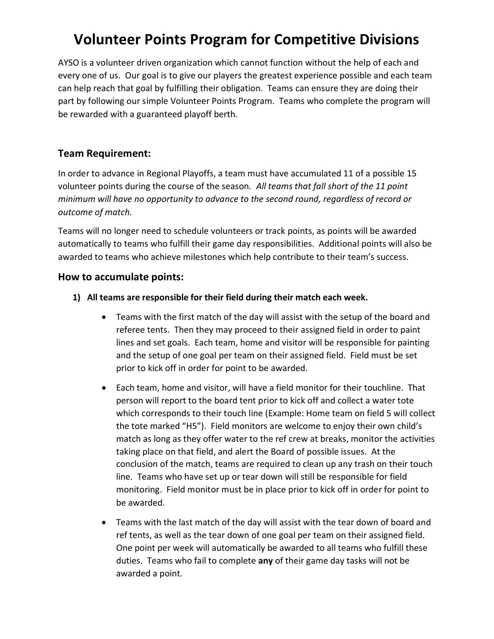## **Volunteer Points Program for Competitive Divisions**

AYSO is a volunteer driven organization which cannot function without the help of each and every one of us. Our goal is to give our players the greatest experience possible and each team can help reach that goal by fulfilling their obligation. Teams can ensure they are doing their part by following our simple Volunteer Points Program. Teams who complete the program will be rewarded with a guaranteed playoff berth.

## **Team Requirement:**

In order to advance in Regional Playoffs, a team must have accumulated 11 of a possible 15 volunteer points during the course of the season*. All teams that fall short of the 11 point minimum will have no opportunity to advance to the second round, regardless of record or outcome of match.* 

Teams will no longer need to schedule volunteers or track points, as points will be awarded automatically to teams who fulfill their game day responsibilities. Additional points will also be awarded to teams who achieve milestones which help contribute to their team's success.

## **How to accumulate points:**

- **1) All teams are responsible for their field during their match each week.** 
	- Teams with the first match of the day will assist with the setup of the board and referee tents. Then they may proceed to their assigned field in order to paint lines and set goals. Each team, home and visitor will be responsible for painting and the setup of one goal per team on their assigned field. Field must be set prior to kick off in order for point to be awarded.
	- Each team, home and visitor, will have a field monitor for their touchline. That person will report to the board tent prior to kick off and collect a water tote which corresponds to their touch line (Example: Home team on field 5 will collect the tote marked "H5"). Field monitors are welcome to enjoy their own child's match as long as they offer water to the ref crew at breaks, monitor the activities taking place on that field, and alert the Board of possible issues. At the conclusion of the match, teams are required to clean up any trash on their touch line. Teams who have set up or tear down will still be responsible for field monitoring. Field monitor must be in place prior to kick off in order for point to be awarded.
	- Teams with the last match of the day will assist with the tear down of board and ref tents, as well as the tear down of one goal per team on their assigned field. One point per week will automatically be awarded to all teams who fulfill these duties. Teams who fail to complete **any** of their game day tasks will not be awarded a point.